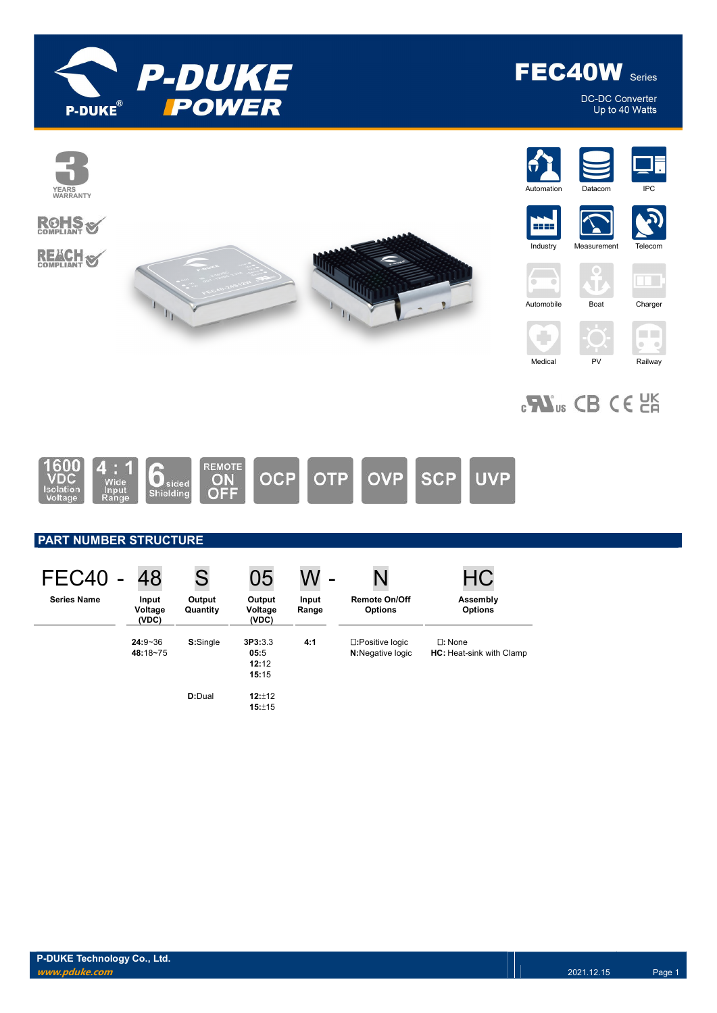

DC-DC Converter<br>Up to 40 Watts



# $\epsilon$ **W**<sub>us</sub> CB CE  $25$



## PART NUMBER STRUCTURE

| FEC40              | 48                        | S                                                | 05                                | W              | N                                            | <b>HC</b>                                       |
|--------------------|---------------------------|--------------------------------------------------|-----------------------------------|----------------|----------------------------------------------|-------------------------------------------------|
| <b>Series Name</b> | Input<br>Voltage<br>(VDC) | Output<br>Output<br>Quantity<br>Voltage<br>(VDC) |                                   | Input<br>Range | <b>Remote On/Off</b><br><b>Options</b>       | Assembly<br><b>Options</b>                      |
|                    | $24:9 - 36$<br>48:18~75   | S:Single                                         | 3P3:3.3<br>05:5<br>12:12<br>15:15 | 4:1            | □:Positive logic<br><b>N:</b> Negative logic | $\Pi$ : None<br><b>HC:</b> Heat-sink with Clamp |
|                    |                           | D:Dual                                           | 12:±12<br>15:±15                  |                |                                              |                                                 |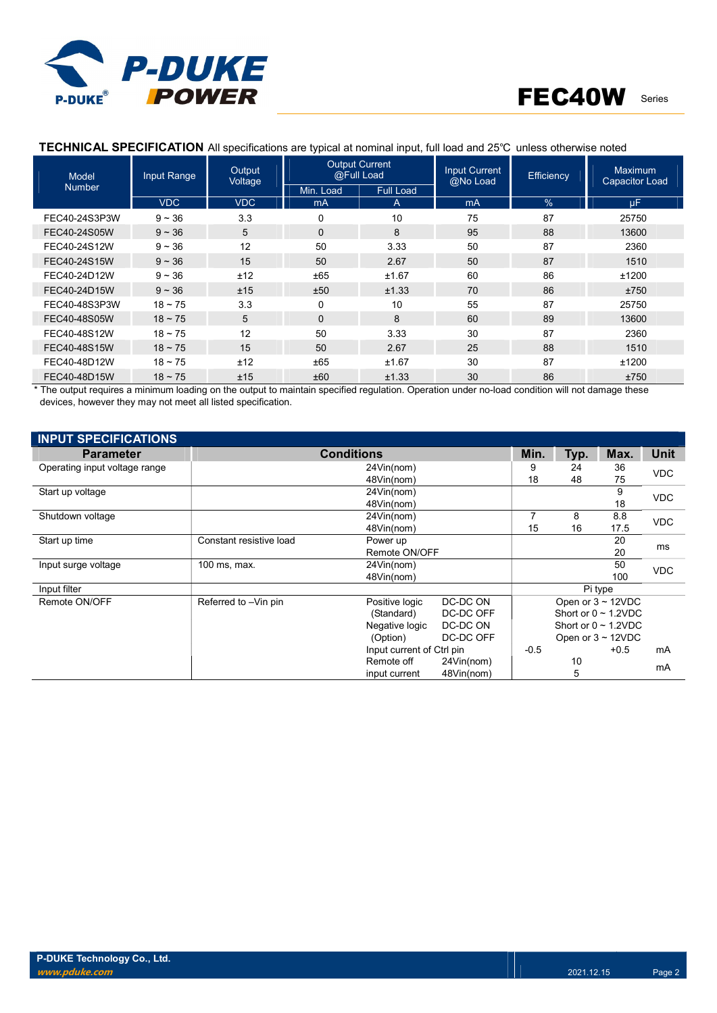

#### Model Number Input Range | Output Voltage Output Current aput Current<br>@Full Load **Input Current**<br><u>A</u>No Load @Mo Load @No Load Efficiency Maximum Capacitor Load Min. Load Full Load VDC | VDC | mA || A ||| mA || % || μF FEC40-24S3P3W 9 ~ 36 3.3 0 10 75 87 25750 FEC40-24S05W 9 ~ 36 5 0 8 95 88 13600 FEC40-24S12W 9 ~ 36 12 50 3.33 50 87 2360 FEC40-24S15W 9 ~ 36 15 50 2.67 50 87 1510 FEC40-24D12W 9 ~ 36 ±12 ±65 ±1.67 60 86 ±1200 FEC40-24D15W 9 ~ 36 ±15 ±50 ±1.33 70 86 ±750 FEC40-48S3P3W 18 ~ 75 3.3 0 10 55 87 25750 FEC40-48S05W 18 ~ 75 5 0 8 60 89 13600 FEC40-48S12W 18 ~ 75 12 50 3.33 30 87 2360 FEC40-48S15W 18 ~ 75 15 50 2.67 25 88 1510 FEC40-48D12W 18 ~ 75 ±12 ±65 ±1.67 30 87 ±1200 FEC40-48D15W 18 ~ 75 ±15 ±60 ±1.33 30 86 ±750

#### TECHNICAL SPECIFICATION All specifications are typical at nominal input, full load and 25℃ unless otherwise noted

The output requires a minimum loading on the output to maintain specified regulation. Operation under no-load condition will not damage these devices, however they may not meet all listed specification.

| <b>INPUT SPECIFICATIONS</b>   |                         |                           |            |        |      |                           |            |
|-------------------------------|-------------------------|---------------------------|------------|--------|------|---------------------------|------------|
| <b>Parameter</b>              |                         | <b>Conditions</b>         |            | Min.   | Typ. | Max.                      | Unit       |
| Operating input voltage range |                         | 24Vin(nom)                | 9          | 24     | 36   | <b>VDC</b>                |            |
|                               |                         | 48Vin(nom)                | 18         | 48     | 75   |                           |            |
| Start up voltage              |                         | 24Vin(nom)                |            |        |      | 9                         | <b>VDC</b> |
|                               |                         | 48Vin(nom)                |            |        |      | 18                        |            |
| Shutdown voltage              |                         | 24Vin(nom)                |            | 7      | 8    | 8.8                       | <b>VDC</b> |
|                               |                         | 48Vin(nom)                |            | 15     | 16   | 17.5                      |            |
| Start up time                 | Constant resistive load | Power up                  |            |        |      | 20                        | ms         |
|                               |                         | Remote ON/OFF             |            |        |      | 20                        |            |
| Input surge voltage           | 100 ms, max.            | 24Vin(nom)                |            |        |      | 50                        | <b>VDC</b> |
|                               |                         | 48Vin(nom)                |            |        |      | 100                       |            |
| Input filter                  |                         |                           |            |        |      | Pi type                   |            |
| Remote ON/OFF                 | Referred to -Vin pin    | Positive logic            | DC-DC ON   |        |      | Open or $3 \sim 12$ VDC   |            |
|                               |                         | (Standard)                | DC-DC OFF  |        |      | Short or $0 \sim 1.2$ VDC |            |
|                               |                         | Negative logic            | DC-DC ON   |        |      | Short or $0 \sim 1.2$ VDC |            |
|                               |                         | (Option)                  | DC-DC OFF  |        |      | Open or $3 \sim 12$ VDC   |            |
|                               |                         | Input current of Ctrl pin |            | $-0.5$ |      | $+0.5$                    | mA         |
|                               |                         | Remote off                | 24Vin(nom) |        |      |                           | mA         |
|                               |                         | input current             | 48Vin(nom) |        | 5    |                           |            |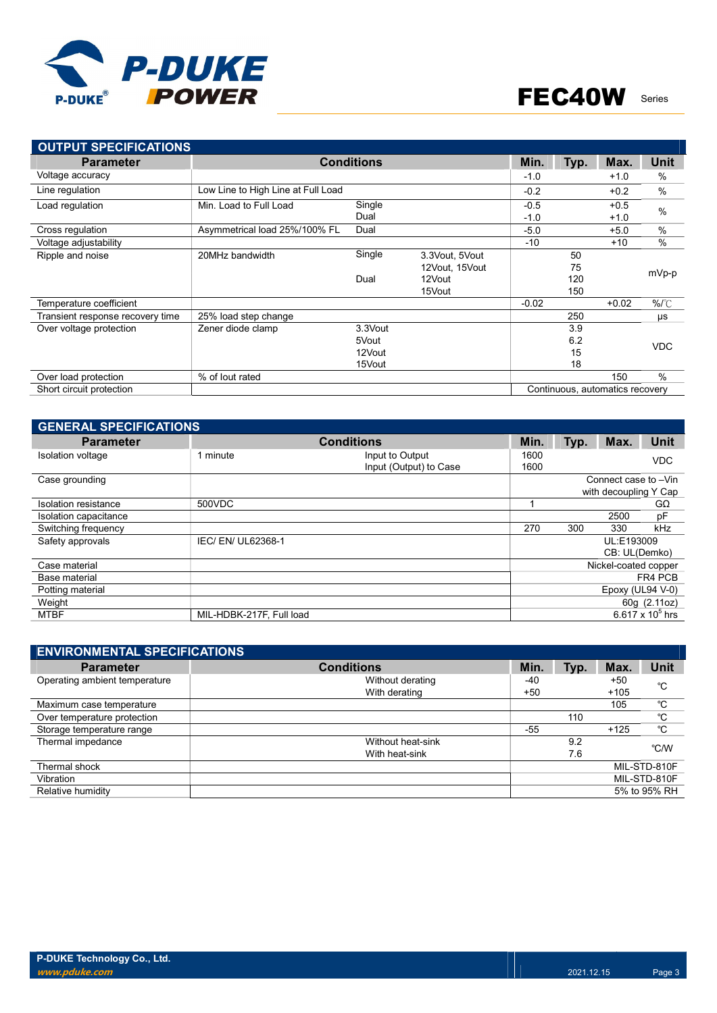

| <b>OUTPUT SPECIFICATIONS</b>     |                                    |                   |                |         |      |                                 |                  |
|----------------------------------|------------------------------------|-------------------|----------------|---------|------|---------------------------------|------------------|
| <b>Parameter</b>                 |                                    | <b>Conditions</b> |                | Min.    | Typ. | Max.                            | <b>Unit</b>      |
| Voltage accuracy                 |                                    |                   |                | $-1.0$  |      | $+1.0$                          | %                |
| Line regulation                  | Low Line to High Line at Full Load |                   |                | $-0.2$  |      | $+0.2$                          | %                |
| Load regulation                  | Min. Load to Full Load             | Single            |                | $-0.5$  |      | $+0.5$                          | $\frac{0}{0}$    |
|                                  |                                    | Dual              |                | $-1.0$  |      | $+1.0$                          |                  |
| Cross regulation                 | Asymmetrical load 25%/100% FL      | Dual              |                | $-5.0$  |      | $+5.0$                          | %                |
| Voltage adjustability            |                                    |                   |                | $-10$   |      | $+10$                           | $\frac{0}{0}$    |
| Ripple and noise                 | 20MHz bandwidth                    | Single            | 3.3Vout, 5Vout |         | 50   |                                 |                  |
|                                  |                                    |                   | 12Vout, 15Vout |         | 75   |                                 | mVp-p            |
|                                  |                                    | Dual              | 12Vout         |         | 120  |                                 |                  |
|                                  |                                    |                   | 15Vout         |         | 150  |                                 |                  |
| Temperature coefficient          |                                    |                   |                | $-0.02$ |      | $+0.02$                         | $%$ $^{\circ}$ C |
| Transient response recovery time | 25% load step change               |                   |                |         | 250  |                                 | μs               |
| Over voltage protection          | Zener diode clamp                  | 3.3Vout           |                |         | 3.9  |                                 |                  |
|                                  |                                    | 5Vout             |                |         | 6.2  |                                 | <b>VDC</b>       |
|                                  |                                    | 12Vout            |                |         | 15   |                                 |                  |
|                                  |                                    | 15Vout            |                |         | 18   |                                 |                  |
| Over load protection             | % of lout rated                    |                   |                |         |      | 150                             | $\frac{0}{0}$    |
| Short circuit protection         |                                    |                   |                |         |      | Continuous, automatics recovery |                  |

| <b>GENERAL SPECIFICATIONS</b> |                          |                        |      |      |                       |                    |  |  |  |  |  |  |
|-------------------------------|--------------------------|------------------------|------|------|-----------------------|--------------------|--|--|--|--|--|--|
| <b>Parameter</b>              |                          | <b>Conditions</b>      | Min. | Typ. | Max.                  | <b>Unit</b>        |  |  |  |  |  |  |
| Isolation voltage             | 1 minute                 | Input to Output        | 1600 |      |                       | <b>VDC</b>         |  |  |  |  |  |  |
|                               |                          | Input (Output) to Case | 1600 |      |                       |                    |  |  |  |  |  |  |
| Case grounding                |                          |                        |      |      | Connect case to -Vin  |                    |  |  |  |  |  |  |
|                               |                          |                        |      |      | with decoupling Y Cap |                    |  |  |  |  |  |  |
| Isolation resistance          | 500VDC                   |                        |      |      |                       | $G\Omega$          |  |  |  |  |  |  |
| Isolation capacitance         |                          |                        |      |      | 2500                  | pF                 |  |  |  |  |  |  |
| Switching frequency           |                          |                        | 270  | 300  | 330                   | kHz                |  |  |  |  |  |  |
| Safety approvals              | IEC/EN/UL62368-1         |                        |      |      | UL:E193009            |                    |  |  |  |  |  |  |
|                               |                          |                        |      |      | CB: UL(Demko)         |                    |  |  |  |  |  |  |
| Case material                 |                          |                        |      |      | Nickel-coated copper  |                    |  |  |  |  |  |  |
| Base material                 |                          |                        |      |      |                       | FR4 PCB            |  |  |  |  |  |  |
| Potting material              |                          |                        |      |      | Epoxy (UL94 V-0)      |                    |  |  |  |  |  |  |
| Weight                        |                          |                        |      |      |                       | 60g (2.11oz)       |  |  |  |  |  |  |
| <b>MTBF</b>                   | MIL-HDBK-217F, Full load |                        |      |      |                       | 6.617 x $10^5$ hrs |  |  |  |  |  |  |

| <b>ENVIRONMENTAL SPECIFICATIONS</b> |                   |       |      |        |              |
|-------------------------------------|-------------------|-------|------|--------|--------------|
| <b>Parameter</b>                    | <b>Conditions</b> | Min.  | Typ. | Max.   | <b>Unit</b>  |
| Operating ambient temperature       | Without derating  | -40   |      | $+50$  | °C           |
|                                     | With derating     | $+50$ |      | $+105$ |              |
| Maximum case temperature            |                   |       |      | 105    | °C           |
| Over temperature protection         |                   |       | 110  |        | °C           |
| Storage temperature range           |                   | $-55$ |      | $+125$ | °C           |
| Thermal impedance                   | Without heat-sink |       | 9.2  |        | °C/W         |
|                                     | With heat-sink    |       | 7.6  |        |              |
| Thermal shock                       |                   |       |      |        | MIL-STD-810F |
| Vibration                           |                   |       |      |        | MIL-STD-810F |
| Relative humidity                   |                   |       |      |        | 5% to 95% RH |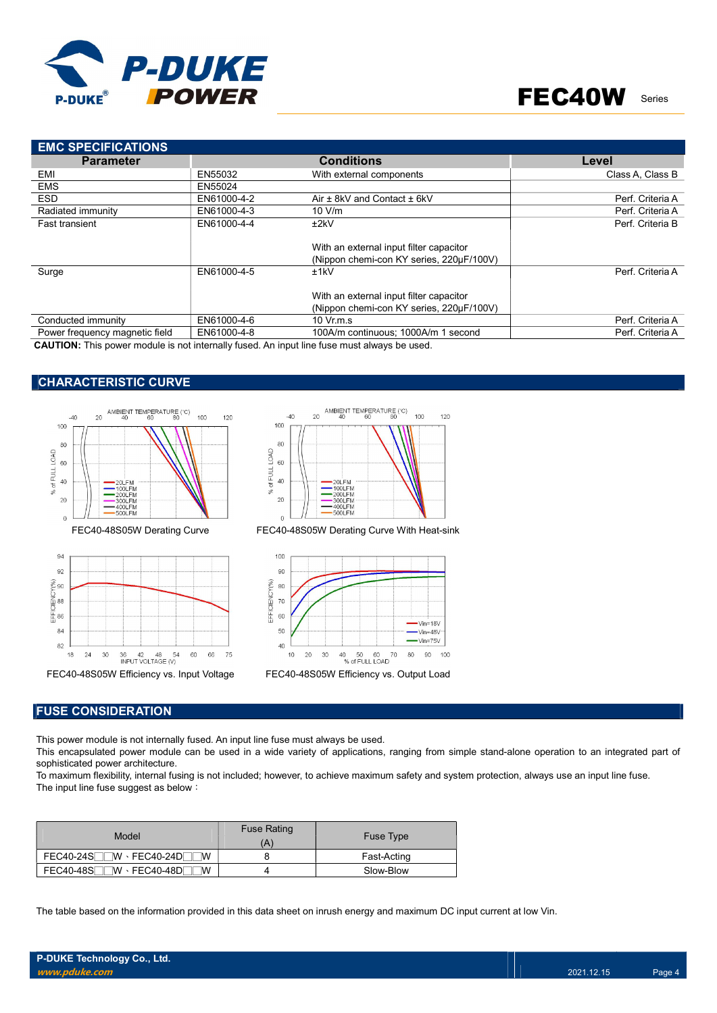

| <b>EMC SPECIFICATIONS</b>      |             |                                                                                     |                  |
|--------------------------------|-------------|-------------------------------------------------------------------------------------|------------------|
| <b>Parameter</b>               |             | <b>Conditions</b>                                                                   | Level            |
| EMI                            | EN55032     | With external components                                                            | Class A, Class B |
| <b>EMS</b>                     | EN55024     |                                                                                     |                  |
| <b>ESD</b>                     | EN61000-4-2 | Air $\pm$ 8kV and Contact $\pm$ 6kV                                                 | Perf. Criteria A |
| Radiated immunity              | EN61000-4-3 | 10 V/m                                                                              | Perf. Criteria A |
| <b>Fast transient</b>          | EN61000-4-4 | ±2kV                                                                                | Perf. Criteria B |
|                                |             | With an external input filter capacitor<br>(Nippon chemi-con KY series, 220µF/100V) |                  |
| Surge                          | EN61000-4-5 | ±1kV                                                                                | Perf. Criteria A |
|                                |             | With an external input filter capacitor                                             |                  |
|                                |             | (Nippon chemi-con KY series, 220µF/100V)                                            |                  |
| Conducted immunity             | EN61000-4-6 | 10 Vr.m.s                                                                           | Perf. Criteria A |
| Power frequency magnetic field | EN61000-4-8 | 100A/m continuous: 1000A/m 1 second                                                 | Perf. Criteria A |

CAUTION: This power module is not internally fused. An input line fuse must always be used.

### CHARACTERISTIC CURVE







FEC40-48S05W Derating Curve FEC40-48S05W Derating Curve With Heat-sink



#### FUSE CONSIDERATION

This power module is not internally fused. An input line fuse must always be used.

This encapsulated power module can be used in a wide variety of applications, ranging from simple stand-alone operation to an integrated part of sophisticated power architecture.

To maximum flexibility, internal fusing is not included; however, to achieve maximum safety and system protection, always use an input line fuse. The input line fuse suggest as below:

| Model                                                                          | <b>Fuse Rating</b> | <b>Fuse Type</b> |
|--------------------------------------------------------------------------------|--------------------|------------------|
| $FEC40-24S$<br>$\mathsf{W}\cdot\mathsf{FEC40\text{-}24D}$ .<br><b>W</b>        |                    | Fast-Acting      |
| <b>FEC40-48S</b><br>$\mathbb{W} \cdot \mathsf{FEC40\text{-}48D}$ .<br><b>W</b> |                    | Slow-Blow        |

The table based on the information provided in this data sheet on inrush energy and maximum DC input current at low Vin.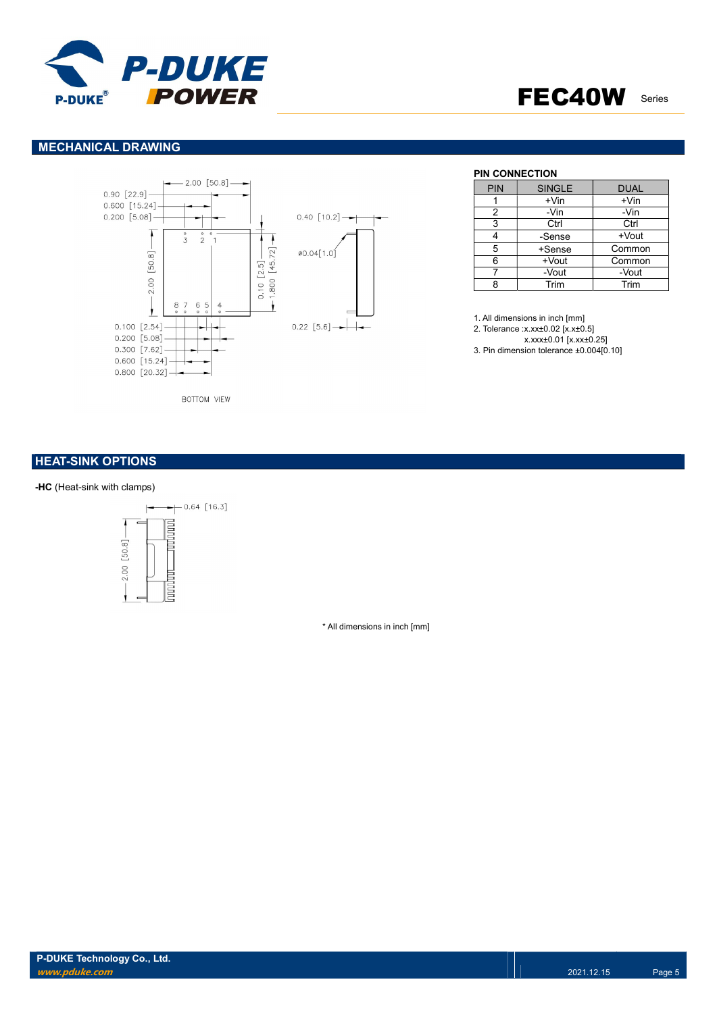

### MECHANICAL DRAWING



**BOTTOM VIEW** 

### **HEAT-SINK OPTIONS**

#### -HC (Heat-sink with clamps)



\* All dimensions in inch [mm]

#### **PIN CONNECTION**

| <b>PIN</b> | <b>SINGLE</b> | <b>DUAL</b> |
|------------|---------------|-------------|
|            | $+V$ in       | $+V$ in     |
| 2          | -Vin          | -Vin        |
| 3          | Ctrl          | Ctrl        |
|            | -Sense        | +Vout       |
| 5          | +Sense        | Common      |
| 6          | +Vout         | Common      |
|            | -Vout         | -Vout       |
|            | Trim          | Trim        |

1. All dimensions in inch [mm] 2. Tolerance :x.xx±0.02 [x.x±0.5] x.xxx±0.01 [x.xx±0.25]

3. Pin dimension tolerance ±0.004[0.10]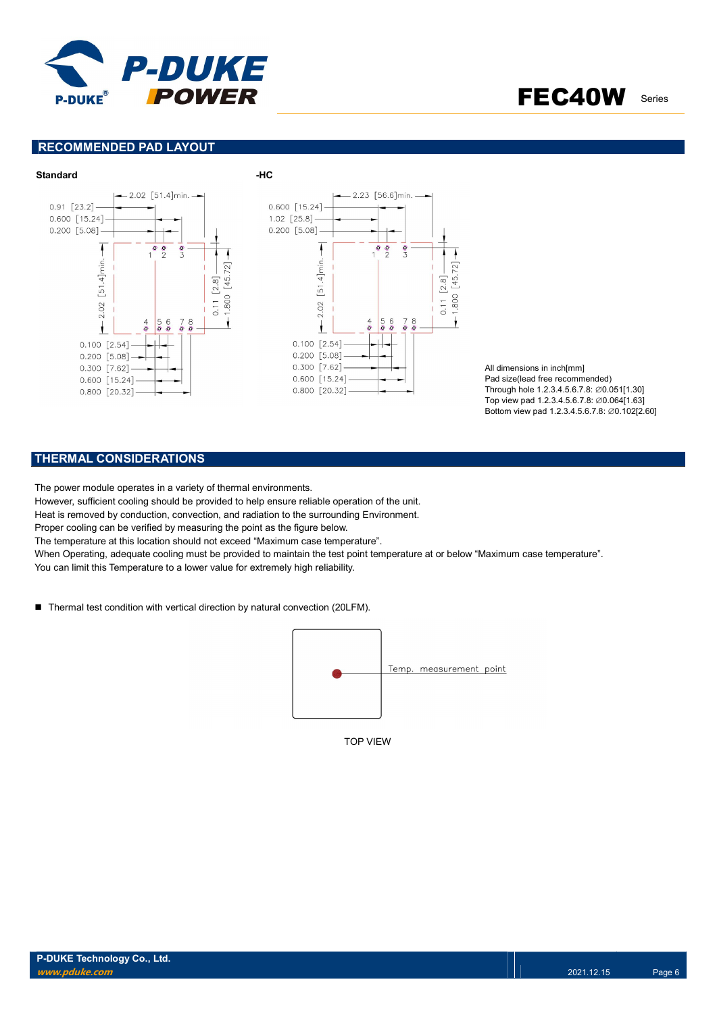

### RECOMMENDED PAD LAYOUT



All dimensions in inch[mm] Pad size(lead free recommended) Through hole 1.2.3.4.5.6.7.8: ∅0.051[1.30] Top view pad 1.2.3.4.5.6.7.8: ∅0.064[1.63] Bottom view pad 1.2.3.4.5.6.7.8: ∅0.102[2.60]

### THERMAL CONSIDERATIONS

The power module operates in a variety of thermal environments.

However, sufficient cooling should be provided to help ensure reliable operation of the unit.

Heat is removed by conduction, convection, and radiation to the surrounding Environment.

Proper cooling can be verified by measuring the point as the figure below.

The temperature at this location should not exceed "Maximum case temperature".

When Operating, adequate cooling must be provided to maintain the test point temperature at or below "Maximum case temperature". You can limit this Temperature to a lower value for extremely high reliability.

■ Thermal test condition with vertical direction by natural convection (20LFM).



TOP VIEW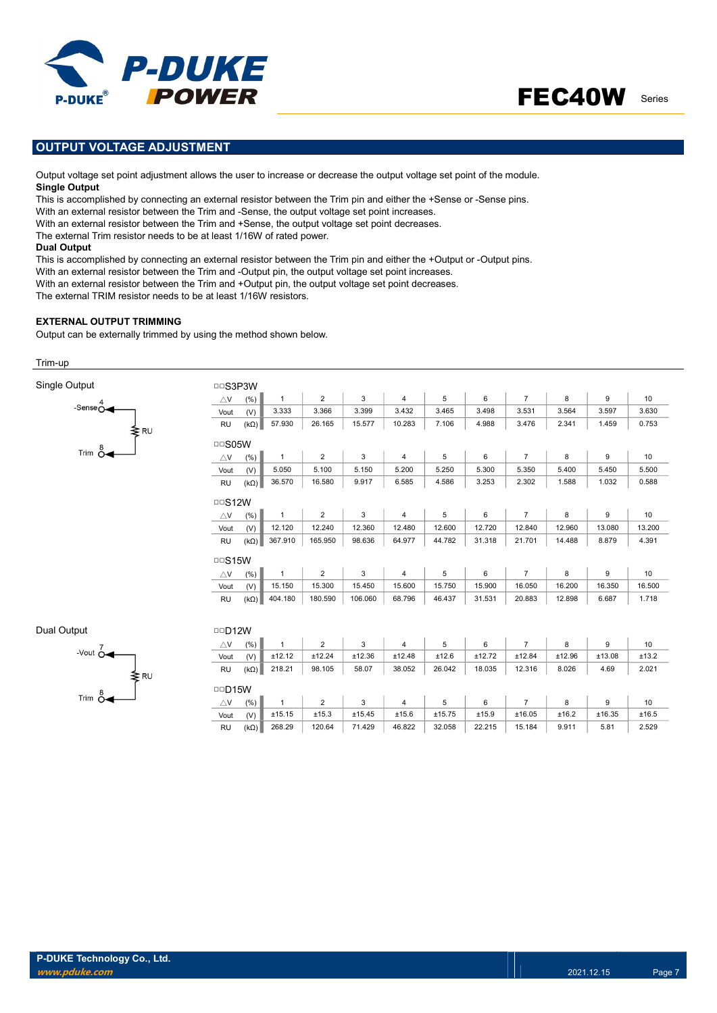

### OUTPUT VOLTAGE ADJUSTMENT

Output voltage set point adjustment allows the user to increase or decrease the output voltage set point of the module. Single Output

This is accomplished by connecting an external resistor between the Trim pin and either the +Sense or -Sense pins.

With an external resistor between the Trim and -Sense, the output voltage set point increases.

With an external resistor between the Trim and +Sense, the output voltage set point decreases.

The external Trim resistor needs to be at least 1/16W of rated power.

#### Dual Output

This is accomplished by connecting an external resistor between the Trim pin and either the +Output or -Output pins.

With an external resistor between the Trim and -Output pin, the output voltage set point increases.

With an external resistor between the Trim and +Output pin, the output voltage set point decreases.

The external TRIM resistor needs to be at least 1/16W resistors.

#### EXTERNAL OUTPUT TRIMMING

Output can be externally trimmed by using the method shown below.

#### Trim-up

| Single Output                  | <b>DDS3P3W</b>     |             |              |                |         |                |        |        |                |        |        |        |
|--------------------------------|--------------------|-------------|--------------|----------------|---------|----------------|--------|--------|----------------|--------|--------|--------|
|                                | $\triangle$ V      | (% )        | $\mathbf{1}$ | $\overline{2}$ | 3       | $\overline{4}$ | 5      | 6      | $\overline{7}$ | 8      | 9      | 10     |
| -Sense $\overset{4}{\bigcirc}$ | Vout               | (V)         | 3.333        | 3.366          | 3.399   | 3.432          | 3.465  | 3.498  | 3.531          | 3.564  | 3.597  | 3.630  |
| ≹RU                            | <b>RU</b>          | $(k\Omega)$ | 57.930       | 26.165         | 15.577  | 10.283         | 7.106  | 4.988  | 3.476          | 2.341  | 1.459  | 0.753  |
| Trim $\overset{8}{\circ}$      | □□S05W             |             |              |                |         |                |        |        |                |        |        |        |
|                                | $\triangle$ V      | (% )        | $\mathbf{1}$ | $\overline{2}$ | 3       | $\overline{4}$ | 5      | 6      | $\overline{7}$ | 8      | 9      | 10     |
|                                | Vout               | (V)         | 5.050        | 5.100          | 5.150   | 5.200          | 5.250  | 5.300  | 5.350          | 5.400  | 5.450  | 5.500  |
|                                | <b>RU</b>          | $(k\Omega)$ | 36.570       | 16.580         | 9.917   | 6.585          | 4.586  | 3.253  | 2.302          | 1.588  | 1.032  | 0.588  |
|                                | $\Box$ S12W        |             |              |                |         |                |        |        |                |        |        |        |
|                                | $\triangle$ V      | $(\% )$     | $\mathbf{1}$ | 2              | 3       | $\overline{4}$ | 5      | 6      | $\overline{7}$ | 8      | 9      | 10     |
|                                | Vout               | (V)         | 12.120       | 12.240         | 12.360  | 12.480         | 12.600 | 12.720 | 12.840         | 12.960 | 13.080 | 13.200 |
|                                | <b>RU</b>          | $(k\Omega)$ | 367.910      | 165.950        | 98.636  | 64.977         | 44.782 | 31.318 | 21.701         | 14.488 | 8.879  | 4.391  |
|                                |                    |             |              |                |         |                |        |        |                |        |        |        |
|                                | $\triangle$ V      | (% )        | $\mathbf{1}$ | $\overline{2}$ | 3       | $\overline{4}$ | 5      | 6      | $\overline{7}$ | 8      | 9      | 10     |
|                                | Vout               | (V)         | 15.150       | 15.300         | 15.450  | 15.600         | 15.750 | 15.900 | 16.050         | 16.200 | 16.350 | 16.500 |
|                                | <b>RU</b>          | $(k\Omega)$ | 404.180      | 180.590        | 106.060 | 68.796         | 46.437 | 31.531 | 20.883         | 12.898 | 6.687  | 1.718  |
|                                |                    |             |              |                |         |                |        |        |                |        |        |        |
| Dual Output                    | $\Box$ D12W        |             |              |                |         |                |        |        |                |        |        |        |
| -Vout $\overline{O}$           | $\bigtriangleup$ V | (% )        | $\mathbf{1}$ | $\overline{2}$ | 3       | $\overline{4}$ | 5      | 6      | $\overline{7}$ | 8      | 9      | 10     |
|                                | Vout               | (V)         | ±12.12       | ±12.24         | ±12.36  | ±12.48         | ±12.6  | ±12.72 | ±12.84         | ±12.96 | ±13.08 | ±13.2  |

| vout          | $\mathbf{v}$ | $-12.12$       | $+12.2+$        | L12.00                             | <b>112.40</b>   | <b>LIL.V</b> | $-12.12$ | $+12.0 +$      | <b>112.50</b> | 1.0.00 | <b>LIJ.</b> 4 |
|---------------|--------------|----------------|-----------------|------------------------------------|-----------------|--------------|----------|----------------|---------------|--------|---------------|
| <b>RU</b>     | $(k\Omega)$  | 218.21         | 98.105          | 58.07                              | 38.052          | 26.042       | 18.035   | 12.316         | 8.026         | 4.69   | 2.021         |
| $\Box$ D15W   |              |                |                 |                                    |                 |              |          |                |               |        |               |
| $\triangle$ V | (%)          | $\overline{1}$ | $\sim$ 2 $\sim$ | $\begin{array}{ccc} \end{array}$ 3 | $\sim$ 4 $\sim$ | $5 \quad 6$  |          | $\overline{7}$ | 8             | 9      | 10            |
| Vout          | (V)          | ±15.15         | ±15.3           | ±15.45                             | ±15.6           | ±15.75       | ±15.9    | ±16.05         | ±16.2         | ±16.35 | ±16.5         |
| <b>RU</b>     | $(k\Omega)$  | 268.29         | 120.64          | 71.429                             | 46.822          | 32.058       | 22.215   | 15.184         | 9.911         | 5.81   | 2.529         |

≹ RU

Trim  $\stackrel{8}{\circ}$